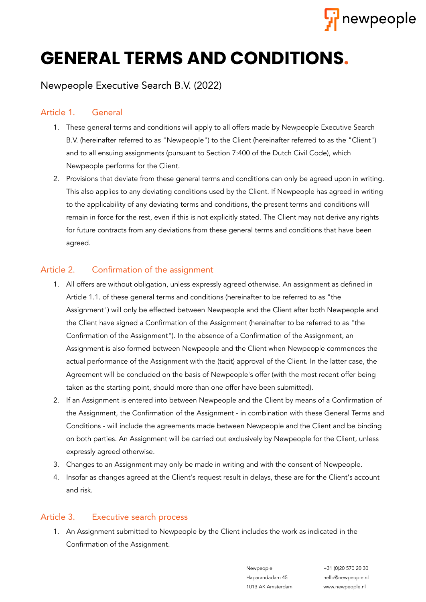

# **GENERAL TERMS AND CONDITIONS.**

# Newpeople Executive Search B.V. (2022)

## Article 1. General

- 1. These general terms and conditions will apply to all offers made by Newpeople Executive Search B.V. (hereinafter referred to as "Newpeople") to the Client (hereinafter referred to as the "Client") and to all ensuing assignments (pursuant to Section 7:400 of the Dutch Civil Code), which Newpeople performs for the Client.
- 2. Provisions that deviate from these general terms and conditions can only be agreed upon in writing. This also applies to any deviating conditions used by the Client. If Newpeople has agreed in writing to the applicability of any deviating terms and conditions, the present terms and conditions will remain in force for the rest, even if this is not explicitly stated. The Client may not derive any rights for future contracts from any deviations from these general terms and conditions that have been agreed.

### Article 2. Confirmation of the assignment

- 1. All offers are without obligation, unless expressly agreed otherwise. An assignment as defined in Article 1.1. of these general terms and conditions (hereinafter to be referred to as "the Assignment") will only be effected between Newpeople and the Client after both Newpeople and the Client have signed a Confirmation of the Assignment (hereinafter to be referred to as "the Confirmation of the Assignment"). In the absence of a Confirmation of the Assignment, an Assignment is also formed between Newpeople and the Client when Newpeople commences the actual performance of the Assignment with the (tacit) approval of the Client. In the latter case, the Agreement will be concluded on the basis of Newpeople's offer (with the most recent offer being taken as the starting point, should more than one offer have been submitted).
- 2. If an Assignment is entered into between Newpeople and the Client by means of a Confirmation of the Assignment, the Confirmation of the Assignment - in combination with these General Terms and Conditions - will include the agreements made between Newpeople and the Client and be binding on both parties. An Assignment will be carried out exclusively by Newpeople for the Client, unless expressly agreed otherwise.
- 3. Changes to an Assignment may only be made in writing and with the consent of Newpeople.
- 4. Insofar as changes agreed at the Client's request result in delays, these are for the Client's account and risk.

#### Article 3. Executive search process

1. An Assignment submitted to Newpeople by the Client includes the work as indicated in the Confirmation of the Assignment.

> Haparandadam 45 hello@newpeople.nl 1013 AK Amsterdam www.newpeople.nl

> Newpeople +31 (0)20 570 20 30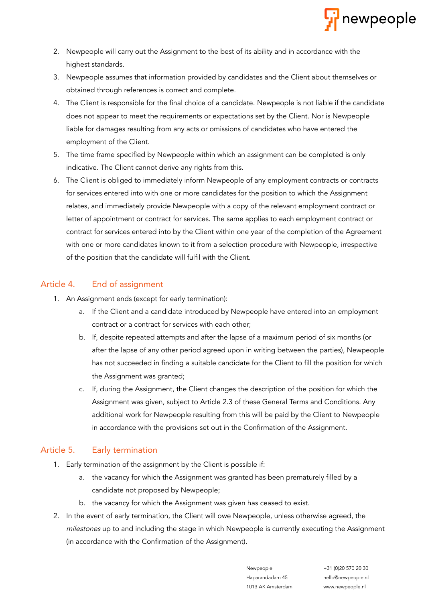

- 2. Newpeople will carry out the Assignment to the best of its ability and in accordance with the highest standards.
- 3. Newpeople assumes that information provided by candidates and the Client about themselves or obtained through references is correct and complete.
- 4. The Client is responsible for the final choice of a candidate. Newpeople is not liable if the candidate does not appear to meet the requirements or expectations set by the Client. Nor is Newpeople liable for damages resulting from any acts or omissions of candidates who have entered the employment of the Client.
- 5. The time frame specified by Newpeople within which an assignment can be completed is only indicative. The Client cannot derive any rights from this.
- 6. The Client is obliged to immediately inform Newpeople of any employment contracts or contracts for services entered into with one or more candidates for the position to which the Assignment relates, and immediately provide Newpeople with a copy of the relevant employment contract or letter of appointment or contract for services. The same applies to each employment contract or contract for services entered into by the Client within one year of the completion of the Agreement with one or more candidates known to it from a selection procedure with Newpeople, irrespective of the position that the candidate will fulfil with the Client.

#### Article 4. End of assignment

- 1. An Assignment ends (except for early termination):
	- a. If the Client and a candidate introduced by Newpeople have entered into an employment contract or a contract for services with each other;
	- b. If, despite repeated attempts and after the lapse of a maximum period of six months (or after the lapse of any other period agreed upon in writing between the parties), Newpeople has not succeeded in finding a suitable candidate for the Client to fill the position for which the Assignment was granted;
	- c. If, during the Assignment, the Client changes the description of the position for which the Assignment was given, subject to Article 2.3 of these General Terms and Conditions. Any additional work for Newpeople resulting from this will be paid by the Client to Newpeople in accordance with the provisions set out in the Confirmation of the Assignment.

# Article 5. Early termination

- 1. Early termination of the assignment by the Client is possible if:
	- a. the vacancy for which the Assignment was granted has been prematurely filled by a candidate not proposed by Newpeople;
	- b. the vacancy for which the Assignment was given has ceased to exist.
- 2. In the event of early termination, the Client will owe Newpeople, unless otherwise agreed, the milestones up to and including the stage in which Newpeople is currently executing the Assignment (in accordance with the Confirmation of the Assignment).

Haparandadam 45 hello@newpeople.nl 1013 AK Amsterdam www.newpeople.nl

Newpeople +31 (0)20 570 20 30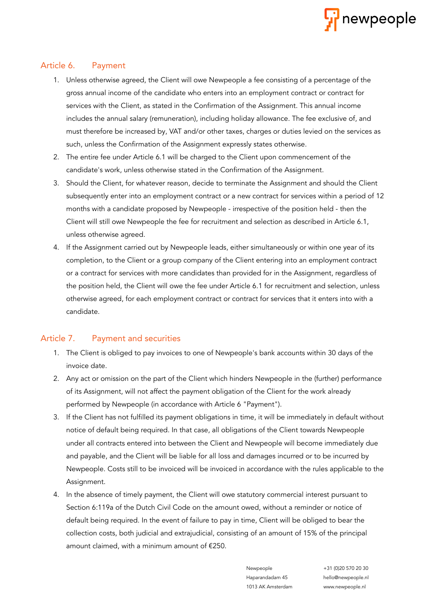

#### Article 6. Payment

- 1. Unless otherwise agreed, the Client will owe Newpeople a fee consisting of a percentage of the gross annual income of the candidate who enters into an employment contract or contract for services with the Client, as stated in the Confirmation of the Assignment. This annual income includes the annual salary (remuneration), including holiday allowance. The fee exclusive of, and must therefore be increased by, VAT and/or other taxes, charges or duties levied on the services as such, unless the Confirmation of the Assignment expressly states otherwise.
- 2. The entire fee under Article 6.1 will be charged to the Client upon commencement of the candidate's work, unless otherwise stated in the Confirmation of the Assignment.
- 3. Should the Client, for whatever reason, decide to terminate the Assignment and should the Client subsequently enter into an employment contract or a new contract for services within a period of 12 months with a candidate proposed by Newpeople - irrespective of the position held - then the Client will still owe Newpeople the fee for recruitment and selection as described in Article 6.1, unless otherwise agreed.
- 4. If the Assignment carried out by Newpeople leads, either simultaneously or within one year of its completion, to the Client or a group company of the Client entering into an employment contract or a contract for services with more candidates than provided for in the Assignment, regardless of the position held, the Client will owe the fee under Article 6.1 for recruitment and selection, unless otherwise agreed, for each employment contract or contract for services that it enters into with a candidate.

#### Article 7. Payment and securities

- 1. The Client is obliged to pay invoices to one of Newpeople's bank accounts within 30 days of the invoice date.
- 2. Any act or omission on the part of the Client which hinders Newpeople in the (further) performance of its Assignment, will not affect the payment obligation of the Client for the work already performed by Newpeople (in accordance with Article 6 "Payment").
- 3. If the Client has not fulfilled its payment obligations in time, it will be immediately in default without notice of default being required. In that case, all obligations of the Client towards Newpeople under all contracts entered into between the Client and Newpeople will become immediately due and payable, and the Client will be liable for all loss and damages incurred or to be incurred by Newpeople. Costs still to be invoiced will be invoiced in accordance with the rules applicable to the Assignment.
- 4. In the absence of timely payment, the Client will owe statutory commercial interest pursuant to Section 6:119a of the Dutch Civil Code on the amount owed, without a reminder or notice of default being required. In the event of failure to pay in time, Client will be obliged to bear the collection costs, both judicial and extrajudicial, consisting of an amount of 15% of the principal amount claimed, with a minimum amount of €250.

Haparandadam 45 hello@newpeople.nl 1013 AK Amsterdam www.newpeople.nl

Newpeople +31 (0)20 570 20 30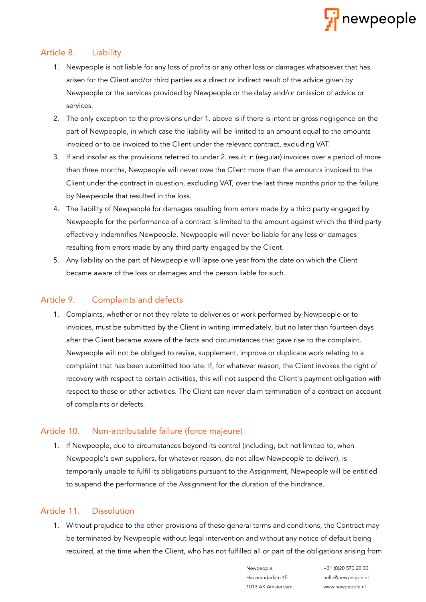

#### Article 8. Liability

- 1. Newpeople is not liable for any loss of profits or any other loss or damages whatsoever that has arisen for the Client and/or third parties as a direct or indirect result of the advice given by Newpeople or the services provided by Newpeople or the delay and/or omission of advice or services.
- 2. The only exception to the provisions under 1. above is if there is intent or gross negligence on the part of Newpeople, in which case the liability will be limited to an amount equal to the amounts invoiced or to be invoiced to the Client under the relevant contract, excluding VAT.
- 3. If and insofar as the provisions referred to under 2. result in (regular) invoices over a period of more than three months, Newpeople will never owe the Client more than the amounts invoiced to the Client under the contract in question, excluding VAT, over the last three months prior to the failure by Newpeople that resulted in the loss.
- 4. The liability of Newpeople for damages resulting from errors made by a third party engaged by Newpeople for the performance of a contract is limited to the amount against which the third party effectively indemnifies Newpeople. Newpeople will never be liable for any loss or damages resulting from errors made by any third party engaged by the Client.
- 5. Any liability on the part of Newpeople will lapse one year from the date on which the Client became aware of the loss or damages and the person liable for such.

#### Article 9. Complaints and defects

1. Complaints, whether or not they relate to deliveries or work performed by Newpeople or to invoices, must be submitted by the Client in writing immediately, but no later than fourteen days after the Client became aware of the facts and circumstances that gave rise to the complaint. Newpeople will not be obliged to revise, supplement, improve or duplicate work relating to a complaint that has been submitted too late. If, for whatever reason, the Client invokes the right of recovery with respect to certain activities, this will not suspend the Client's payment obligation with respect to those or other activities. The Client can never claim termination of a contract on account of complaints or defects.

#### Article 10. Non-attributable failure (force majeure)

1. If Newpeople, due to circumstances beyond its control (including, but not limited to, when Newpeople's own suppliers, for whatever reason, do not allow Newpeople to deliver), is temporarily unable to fulfil its obligations pursuant to the Assignment, Newpeople will be entitled to suspend the performance of the Assignment for the duration of the hindrance.

#### Article 11. Dissolution

1. Without prejudice to the other provisions of these general terms and conditions, the Contract may be terminated by Newpeople without legal intervention and without any notice of default being required, at the time when the Client, who has not fulfilled all or part of the obligations arising from

Newpeople +31 (0)20 570 20 30

Haparandadam 45 hello@newpeople.nl 1013 AK Amsterdam www.newpeople.nl